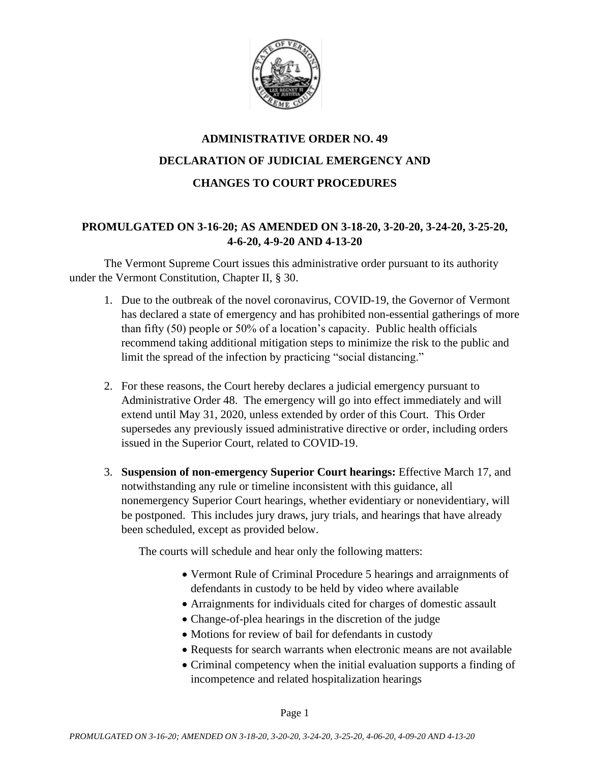

# **ADMINISTRATIVE ORDER NO. 49 DECLARATION OF JUDICIAL EMERGENCY AND CHANGES TO COURT PROCEDURES**

# **PROMULGATED ON 3-16-20; AS AMENDED ON 3-18-20, 3-20-20, 3-24-20, 3-25-20, 4-6-20, 4-9-20 AND 4-13-20**

The Vermont Supreme Court issues this administrative order pursuant to its authority under the Vermont Constitution, Chapter II, § 30.

- 1. Due to the outbreak of the novel coronavirus, COVID-19, the Governor of Vermont has declared a state of emergency and has prohibited non-essential gatherings of more than fifty (50) people or 50% of a location's capacity. Public health officials recommend taking additional mitigation steps to minimize the risk to the public and limit the spread of the infection by practicing "social distancing."
- 2. For these reasons, the Court hereby declares a judicial emergency pursuant to Administrative Order 48. The emergency will go into effect immediately and will extend until May 31, 2020, unless extended by order of this Court. This Order supersedes any previously issued administrative directive or order, including orders issued in the Superior Court, related to COVID-19.
- 3. **Suspension of non-emergency Superior Court hearings:** Effective March 17, and notwithstanding any rule or timeline inconsistent with this guidance, all nonemergency Superior Court hearings, whether evidentiary or nonevidentiary, will be postponed. This includes jury draws, jury trials, and hearings that have already been scheduled, except as provided below.

The courts will schedule and hear only the following matters:

- Vermont Rule of Criminal Procedure 5 hearings and arraignments of defendants in custody to be held by video where available
- Arraignments for individuals cited for charges of domestic assault
- Change-of-plea hearings in the discretion of the judge
- Motions for review of bail for defendants in custody
- Requests for search warrants when electronic means are not available
- Criminal competency when the initial evaluation supports a finding of incompetence and related hospitalization hearings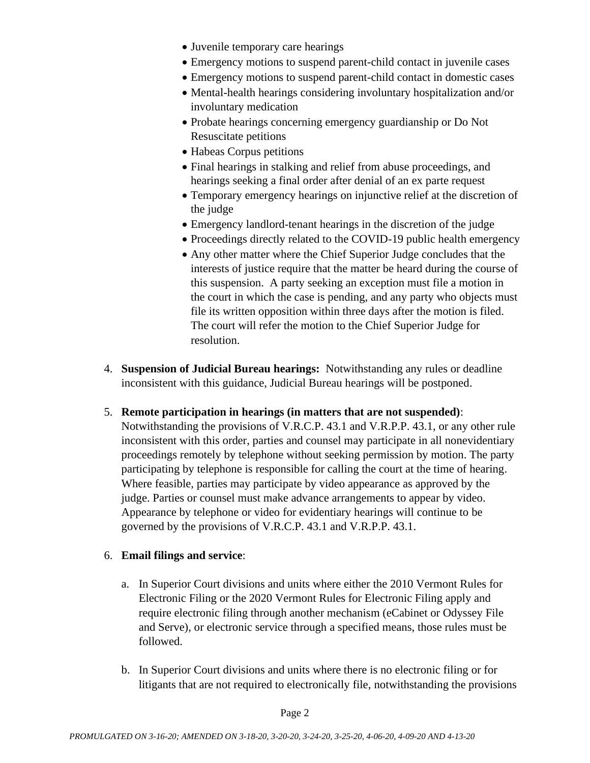- Juvenile temporary care hearings
- Emergency motions to suspend parent-child contact in juvenile cases
- Emergency motions to suspend parent-child contact in domestic cases
- Mental-health hearings considering involuntary hospitalization and/or involuntary medication
- Probate hearings concerning emergency guardianship or Do Not Resuscitate petitions
- Habeas Corpus petitions
- Final hearings in stalking and relief from abuse proceedings, and hearings seeking a final order after denial of an ex parte request
- Temporary emergency hearings on injunctive relief at the discretion of the judge
- Emergency landlord-tenant hearings in the discretion of the judge
- Proceedings directly related to the COVID-19 public health emergency
- Any other matter where the Chief Superior Judge concludes that the interests of justice require that the matter be heard during the course of this suspension. A party seeking an exception must file a motion in the court in which the case is pending, and any party who objects must file its written opposition within three days after the motion is filed. The court will refer the motion to the Chief Superior Judge for resolution.
- 4. **Suspension of Judicial Bureau hearings:** Notwithstanding any rules or deadline inconsistent with this guidance, Judicial Bureau hearings will be postponed.
- 5. **Remote participation in hearings (in matters that are not suspended)**:
	- Notwithstanding the provisions of V.R.C.P. 43.1 and V.R.P.P. 43.1, or any other rule inconsistent with this order, parties and counsel may participate in all nonevidentiary proceedings remotely by telephone without seeking permission by motion. The party participating by telephone is responsible for calling the court at the time of hearing. Where feasible, parties may participate by video appearance as approved by the judge. Parties or counsel must make advance arrangements to appear by video. Appearance by telephone or video for evidentiary hearings will continue to be governed by the provisions of V.R.C.P. 43.1 and V.R.P.P. 43.1.

# 6. **Email filings and service**:

- a. In Superior Court divisions and units where either the 2010 Vermont Rules for Electronic Filing or the 2020 Vermont Rules for Electronic Filing apply and require electronic filing through another mechanism (eCabinet or Odyssey File and Serve), or electronic service through a specified means, those rules must be followed.
- b. In Superior Court divisions and units where there is no electronic filing or for litigants that are not required to electronically file, notwithstanding the provisions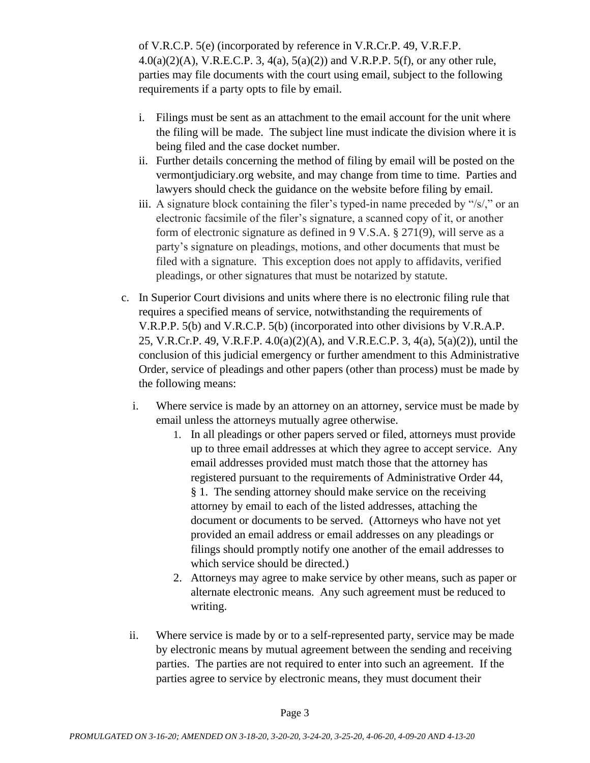of V.R.C.P. 5(e) (incorporated by reference in V.R.Cr.P. 49, V.R.F.P.  $4.0(a)(2)(A)$ , V.R.E.C.P. 3,  $4(a)$ ,  $5(a)(2)$  and V.R.P.P.  $5(f)$ , or any other rule, parties may file documents with the court using email, subject to the following requirements if a party opts to file by email.

- i. Filings must be sent as an attachment to the email account for the unit where the filing will be made. The subject line must indicate the division where it is being filed and the case docket number.
- ii. Further details concerning the method of filing by email will be posted on the vermontjudiciary.org website, and may change from time to time. Parties and lawyers should check the guidance on the website before filing by email.
- iii. A signature block containing the filer's typed-in name preceded by "/s/," or an electronic facsimile of the filer's signature, a scanned copy of it, or another form of electronic signature as defined in 9 V.S.A. § 271(9), will serve as a party's signature on pleadings, motions, and other documents that must be filed with a signature. This exception does not apply to affidavits, verified pleadings, or other signatures that must be notarized by statute.
- c. In Superior Court divisions and units where there is no electronic filing rule that requires a specified means of service, notwithstanding the requirements of V.R.P.P. 5(b) and V.R.C.P. 5(b) (incorporated into other divisions by V.R.A.P. 25, V.R.Cr.P. 49, V.R.F.P. 4.0(a)(2)(A), and V.R.E.C.P. 3, 4(a), 5(a)(2)), until the conclusion of this judicial emergency or further amendment to this Administrative Order, service of pleadings and other papers (other than process) must be made by the following means:
	- i. Where service is made by an attorney on an attorney, service must be made by email unless the attorneys mutually agree otherwise.
		- 1. In all pleadings or other papers served or filed, attorneys must provide up to three email addresses at which they agree to accept service. Any email addresses provided must match those that the attorney has registered pursuant to the requirements of Administrative Order 44, § 1. The sending attorney should make service on the receiving attorney by email to each of the listed addresses, attaching the document or documents to be served. (Attorneys who have not yet provided an email address or email addresses on any pleadings or filings should promptly notify one another of the email addresses to which service should be directed.)
		- 2. Attorneys may agree to make service by other means, such as paper or alternate electronic means. Any such agreement must be reduced to writing.
	- ii. Where service is made by or to a self-represented party, service may be made by electronic means by mutual agreement between the sending and receiving parties. The parties are not required to enter into such an agreement. If the parties agree to service by electronic means, they must document their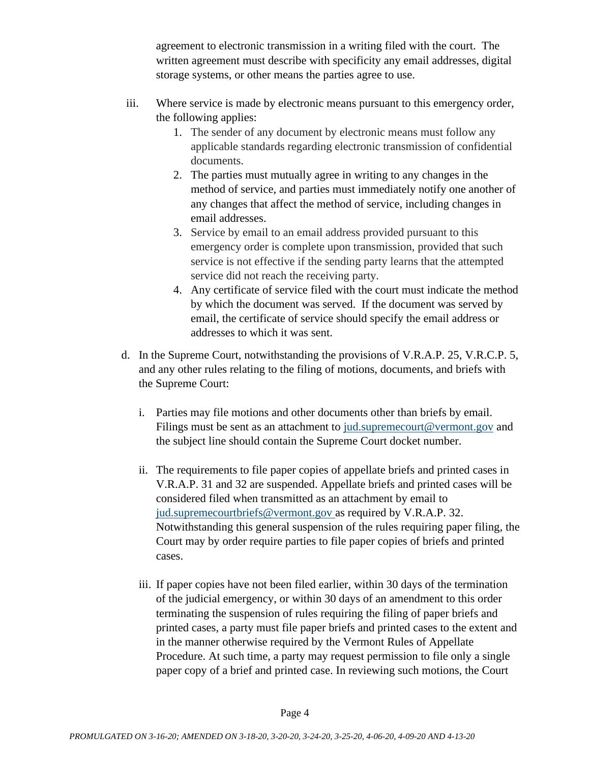agreement to electronic transmission in a writing filed with the court. The written agreement must describe with specificity any email addresses, digital storage systems, or other means the parties agree to use.

- iii. Where service is made by electronic means pursuant to this emergency order, the following applies:
	- 1. The sender of any document by electronic means must follow any applicable standards regarding electronic transmission of confidential documents.
	- 2. The parties must mutually agree in writing to any changes in the method of service, and parties must immediately notify one another of any changes that affect the method of service, including changes in email addresses.
	- 3. Service by email to an email address provided pursuant to this emergency order is complete upon transmission, provided that such service is not effective if the sending party learns that the attempted service did not reach the receiving party.
	- 4. Any certificate of service filed with the court must indicate the method by which the document was served. If the document was served by email, the certificate of service should specify the email address or addresses to which it was sent.
- d. In the Supreme Court, notwithstanding the provisions of V.R.A.P. 25, V.R.C.P. 5, and any other rules relating to the filing of motions, documents, and briefs with the Supreme Court:
	- i. Parties may file motions and other documents other than briefs by email. Filings must be sent as an attachment to [jud.supremecourt@vermont.gov](mailto:jud.supremecourt@vermont.gov) and the subject line should contain the Supreme Court docket number.
	- ii. The requirements to file paper copies of appellate briefs and printed cases in V.R.A.P. 31 and 32 are suspended. Appellate briefs and printed cases will be considered filed when transmitted as an attachment by email to [jud.supremecourtbriefs@vermont.gov](mailto:jud.supremecourtbriefs@vermont.gov) as required by V.R.A.P. 32. Notwithstanding this general suspension of the rules requiring paper filing, the Court may by order require parties to file paper copies of briefs and printed cases.
	- iii. If paper copies have not been filed earlier, within 30 days of the termination of the judicial emergency, or within 30 days of an amendment to this order terminating the suspension of rules requiring the filing of paper briefs and printed cases, a party must file paper briefs and printed cases to the extent and in the manner otherwise required by the Vermont Rules of Appellate Procedure. At such time, a party may request permission to file only a single paper copy of a brief and printed case. In reviewing such motions, the Court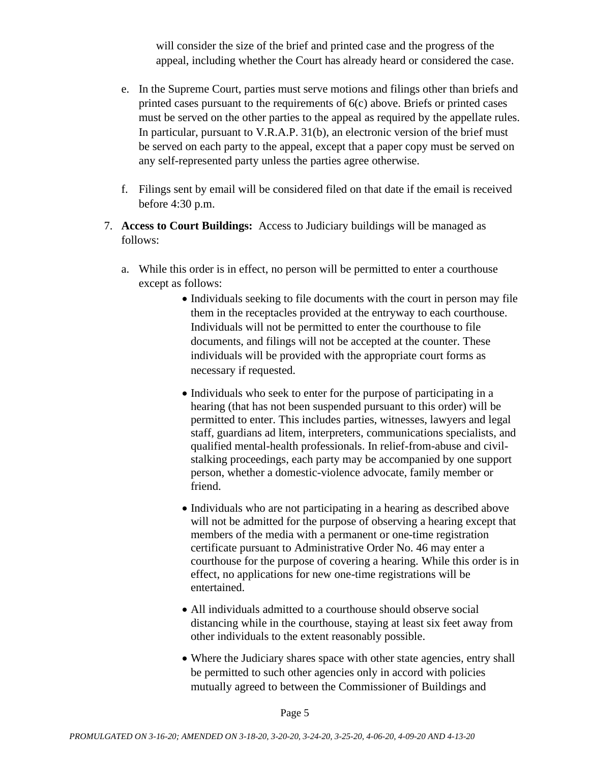will consider the size of the brief and printed case and the progress of the appeal, including whether the Court has already heard or considered the case.

- e. In the Supreme Court, parties must serve motions and filings other than briefs and printed cases pursuant to the requirements of 6(c) above. Briefs or printed cases must be served on the other parties to the appeal as required by the appellate rules. In particular, pursuant to V.R.A.P. 31(b), an electronic version of the brief must be served on each party to the appeal, except that a paper copy must be served on any self-represented party unless the parties agree otherwise.
- f. Filings sent by email will be considered filed on that date if the email is received before 4:30 p.m.
- 7. **Access to Court Buildings:** Access to Judiciary buildings will be managed as follows:
	- a. While this order is in effect, no person will be permitted to enter a courthouse except as follows:
		- Individuals seeking to file documents with the court in person may file them in the receptacles provided at the entryway to each courthouse. Individuals will not be permitted to enter the courthouse to file documents, and filings will not be accepted at the counter. These individuals will be provided with the appropriate court forms as necessary if requested.
		- Individuals who seek to enter for the purpose of participating in a hearing (that has not been suspended pursuant to this order) will be permitted to enter. This includes parties, witnesses, lawyers and legal staff, guardians ad litem, interpreters, communications specialists, and qualified mental-health professionals. In relief-from-abuse and civilstalking proceedings, each party may be accompanied by one support person, whether a domestic-violence advocate, family member or friend.
		- Individuals who are not participating in a hearing as described above will not be admitted for the purpose of observing a hearing except that members of the media with a permanent or one-time registration certificate pursuant to Administrative Order No. 46 may enter a courthouse for the purpose of covering a hearing. While this order is in effect, no applications for new one-time registrations will be entertained.
		- All individuals admitted to a courthouse should observe social distancing while in the courthouse, staying at least six feet away from other individuals to the extent reasonably possible.
		- Where the Judiciary shares space with other state agencies, entry shall be permitted to such other agencies only in accord with policies mutually agreed to between the Commissioner of Buildings and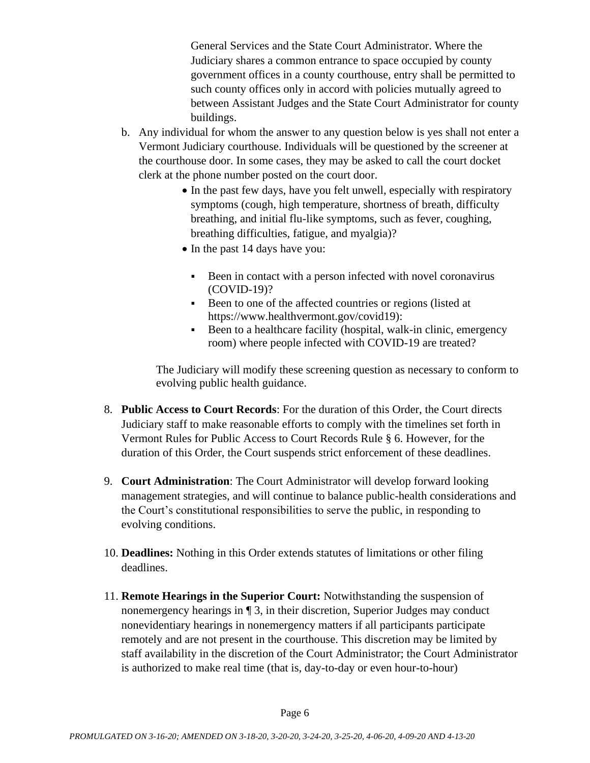General Services and the State Court Administrator. Where the Judiciary shares a common entrance to space occupied by county government offices in a county courthouse, entry shall be permitted to such county offices only in accord with policies mutually agreed to between Assistant Judges and the State Court Administrator for county buildings.

- b. Any individual for whom the answer to any question below is yes shall not enter a Vermont Judiciary courthouse. Individuals will be questioned by the screener at the courthouse door. In some cases, they may be asked to call the court docket clerk at the phone number posted on the court door.
	- In the past few days, have you felt unwell, especially with respiratory symptoms (cough, high temperature, shortness of breath, difficulty breathing, and initial flu-like symptoms, such as fever, coughing, breathing difficulties, fatigue, and myalgia)?
	- In the past 14 days have you:
		- Been in contact with a person infected with novel coronavirus (COVID-19)?
		- Been to one of the affected countries or regions (listed at [https://www.healthvermont.gov/covid19\):](https://www.healthvermont.gov/covid19)
		- Been to a healthcare facility (hospital, walk-in clinic, emergency room) where people infected with COVID-19 are treated?

The Judiciary will modify these screening question as necessary to conform to evolving public health guidance.

- 8. **Public Access to Court Records**: For the duration of this Order, the Court directs Judiciary staff to make reasonable efforts to comply with the timelines set forth in Vermont Rules for Public Access to Court Records Rule § 6. However, for the duration of this Order, the Court suspends strict enforcement of these deadlines.
- 9. **Court Administration**: The Court Administrator will develop forward looking management strategies, and will continue to balance public-health considerations and the Court's constitutional responsibilities to serve the public, in responding to evolving conditions.
- 10. **Deadlines:** Nothing in this Order extends statutes of limitations or other filing deadlines.
- 11. **Remote Hearings in the Superior Court:** Notwithstanding the suspension of nonemergency hearings in ¶ 3, in their discretion, Superior Judges may conduct nonevidentiary hearings in nonemergency matters if all participants participate remotely and are not present in the courthouse. This discretion may be limited by staff availability in the discretion of the Court Administrator; the Court Administrator is authorized to make real time (that is, day-to-day or even hour-to-hour)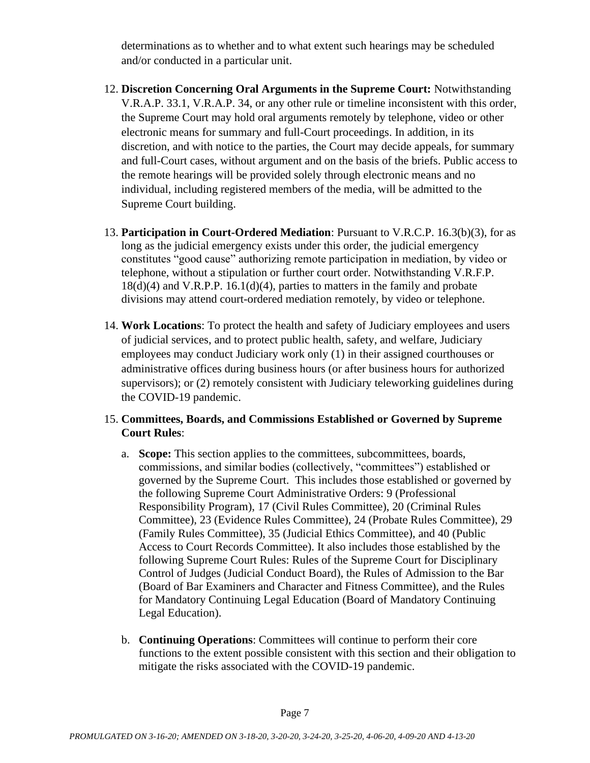determinations as to whether and to what extent such hearings may be scheduled and/or conducted in a particular unit.

- 12. **Discretion Concerning Oral Arguments in the Supreme Court:** Notwithstanding V.R.A.P. 33.1, V.R.A.P. 34, or any other rule or timeline inconsistent with this order, the Supreme Court may hold oral arguments remotely by telephone, video or other electronic means for summary and full-Court proceedings. In addition, in its discretion, and with notice to the parties, the Court may decide appeals, for summary and full-Court cases, without argument and on the basis of the briefs. Public access to the remote hearings will be provided solely through electronic means and no individual, including registered members of the media, will be admitted to the Supreme Court building.
- 13. **Participation in Court-Ordered Mediation**: Pursuant to V.R.C.P. 16.3(b)(3), for as long as the judicial emergency exists under this order, the judicial emergency constitutes "good cause" authorizing remote participation in mediation, by video or telephone, without a stipulation or further court order. Notwithstanding V.R.F.P. 18(d)(4) and V.R.P.P. 16.1(d)(4), parties to matters in the family and probate divisions may attend court-ordered mediation remotely, by video or telephone.
- 14. **Work Locations**: To protect the health and safety of Judiciary employees and users of judicial services, and to protect public health, safety, and welfare, Judiciary employees may conduct Judiciary work only (1) in their assigned courthouses or administrative offices during business hours (or after business hours for authorized supervisors); or (2) remotely consistent with Judiciary teleworking guidelines during the COVID-19 pandemic.

## 15. **Committees, Boards, and Commissions Established or Governed by Supreme Court Rules**:

- a. **Scope:** This section applies to the committees, subcommittees, boards, commissions, and similar bodies (collectively, "committees") established or governed by the Supreme Court. This includes those established or governed by the following Supreme Court Administrative Orders: 9 (Professional Responsibility Program), 17 (Civil Rules Committee), 20 (Criminal Rules Committee), 23 (Evidence Rules Committee), 24 (Probate Rules Committee), 29 (Family Rules Committee), 35 (Judicial Ethics Committee), and 40 (Public Access to Court Records Committee). It also includes those established by the following Supreme Court Rules: Rules of the Supreme Court for Disciplinary Control of Judges (Judicial Conduct Board), the Rules of Admission to the Bar (Board of Bar Examiners and Character and Fitness Committee), and the Rules for Mandatory Continuing Legal Education (Board of Mandatory Continuing Legal Education).
- b. **Continuing Operations**: Committees will continue to perform their core functions to the extent possible consistent with this section and their obligation to mitigate the risks associated with the COVID-19 pandemic.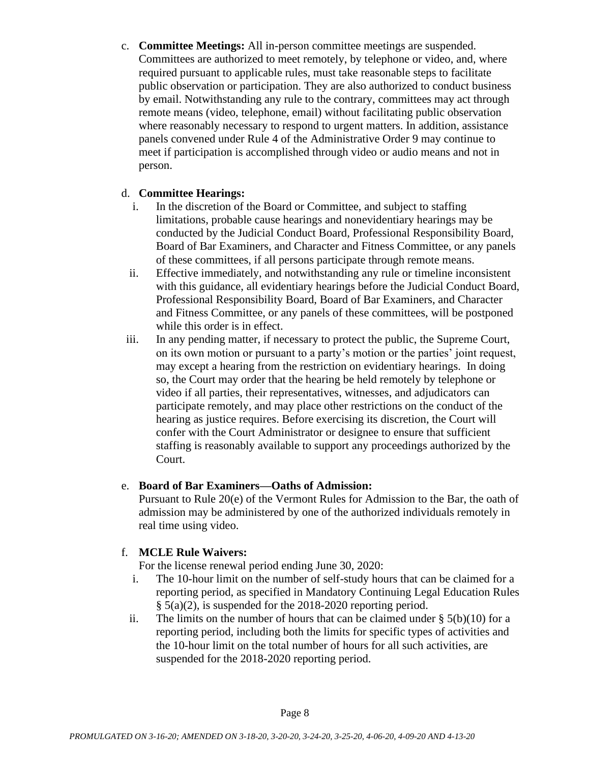c. **Committee Meetings:** All in-person committee meetings are suspended. Committees are authorized to meet remotely, by telephone or video, and, where required pursuant to applicable rules, must take reasonable steps to facilitate public observation or participation. They are also authorized to conduct business by email. Notwithstanding any rule to the contrary, committees may act through remote means (video, telephone, email) without facilitating public observation where reasonably necessary to respond to urgent matters. In addition, assistance panels convened under Rule 4 of the Administrative Order 9 may continue to meet if participation is accomplished through video or audio means and not in person.

## d. **Committee Hearings:**

- i. In the discretion of the Board or Committee, and subject to staffing limitations, probable cause hearings and nonevidentiary hearings may be conducted by the Judicial Conduct Board, Professional Responsibility Board, Board of Bar Examiners, and Character and Fitness Committee, or any panels of these committees, if all persons participate through remote means.
- ii. Effective immediately, and notwithstanding any rule or timeline inconsistent with this guidance, all evidentiary hearings before the Judicial Conduct Board, Professional Responsibility Board, Board of Bar Examiners, and Character and Fitness Committee, or any panels of these committees, will be postponed while this order is in effect.
- iii. In any pending matter, if necessary to protect the public, the Supreme Court, on its own motion or pursuant to a party's motion or the parties' joint request, may except a hearing from the restriction on evidentiary hearings. In doing so, the Court may order that the hearing be held remotely by telephone or video if all parties, their representatives, witnesses, and adjudicators can participate remotely, and may place other restrictions on the conduct of the hearing as justice requires. Before exercising its discretion, the Court will confer with the Court Administrator or designee to ensure that sufficient staffing is reasonably available to support any proceedings authorized by the Court.

# e. **Board of Bar Examiners—Oaths of Admission:**

Pursuant to Rule 20(e) of the Vermont Rules for Admission to the Bar, the oath of admission may be administered by one of the authorized individuals remotely in real time using video.

# f. **MCLE Rule Waivers:**

For the license renewal period ending June 30, 2020:

- i. The 10-hour limit on the number of self-study hours that can be claimed for a reporting period, as specified in Mandatory Continuing Legal Education Rules § 5(a)(2), is suspended for the 2018-2020 reporting period.
- ii. The limits on the number of hours that can be claimed under  $\S$  5(b)(10) for a reporting period, including both the limits for specific types of activities and the 10-hour limit on the total number of hours for all such activities, are suspended for the 2018-2020 reporting period.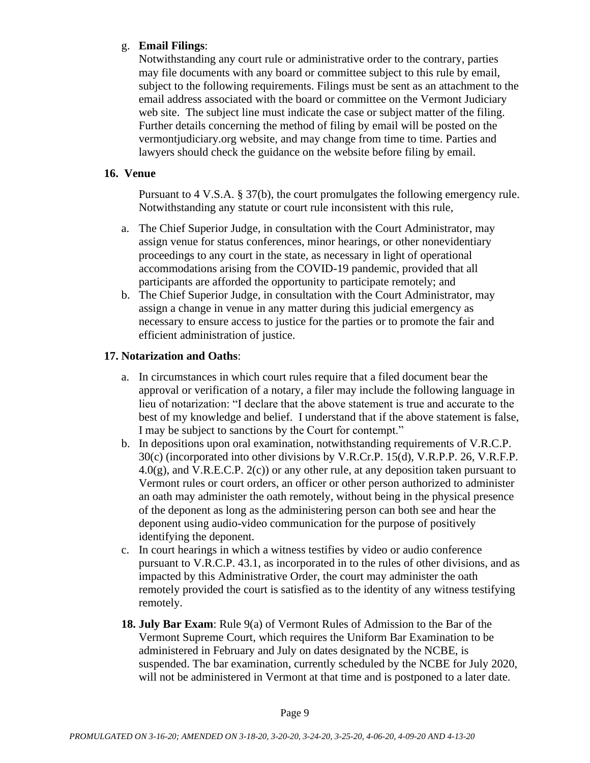# g. **Email Filings**:

Notwithstanding any court rule or administrative order to the contrary, parties may file documents with any board or committee subject to this rule by email, subject to the following requirements. Filings must be sent as an attachment to the email address associated with the board or committee on the Vermont Judiciary web site. The subject line must indicate the case or subject matter of the filing. Further details concerning the method of filing by email will be posted on the vermontjudiciary.org website, and may change from time to time. Parties and lawyers should check the guidance on the website before filing by email.

## **16. Venue**

Pursuant to 4 V.S.A. § 37(b), the court promulgates the following emergency rule. Notwithstanding any statute or court rule inconsistent with this rule,

- a. The Chief Superior Judge, in consultation with the Court Administrator, may assign venue for status conferences, minor hearings, or other nonevidentiary proceedings to any court in the state, as necessary in light of operational accommodations arising from the COVID-19 pandemic, provided that all participants are afforded the opportunity to participate remotely; and
- b. The Chief Superior Judge, in consultation with the Court Administrator, may assign a change in venue in any matter during this judicial emergency as necessary to ensure access to justice for the parties or to promote the fair and efficient administration of justice.

## **17. Notarization and Oaths**:

- a. In circumstances in which court rules require that a filed document bear the approval or verification of a notary, a filer may include the following language in lieu of notarization: "I declare that the above statement is true and accurate to the best of my knowledge and belief. I understand that if the above statement is false, I may be subject to sanctions by the Court for contempt."
- b. In depositions upon oral examination, notwithstanding requirements of V.R.C.P. 30(c) (incorporated into other divisions by V.R.Cr.P. 15(d), V.R.P.P. 26, V.R.F.P.  $4.0(g)$ , and V.R.E.C.P.  $2(c)$  or any other rule, at any deposition taken pursuant to Vermont rules or court orders, an officer or other person authorized to administer an oath may administer the oath remotely, without being in the physical presence of the deponent as long as the administering person can both see and hear the deponent using audio-video communication for the purpose of positively identifying the deponent.
- c. In court hearings in which a witness testifies by video or audio conference pursuant to V.R.C.P. 43.1, as incorporated in to the rules of other divisions, and as impacted by this Administrative Order, the court may administer the oath remotely provided the court is satisfied as to the identity of any witness testifying remotely.
- **18. July Bar Exam**: Rule 9(a) of Vermont Rules of Admission to the Bar of the Vermont Supreme Court, which requires the Uniform Bar Examination to be administered in February and July on dates designated by the NCBE, is suspended. The bar examination, currently scheduled by the NCBE for July 2020, will not be administered in Vermont at that time and is postponed to a later date.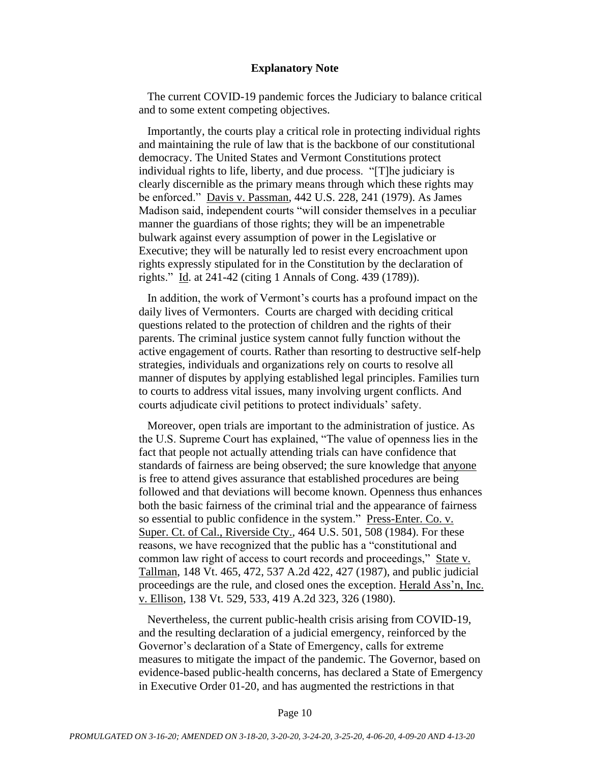#### **Explanatory Note**

The current COVID-19 pandemic forces the Judiciary to balance critical and to some extent competing objectives.

Importantly, the courts play a critical role in protecting individual rights and maintaining the rule of law that is the backbone of our constitutional democracy. The United States and Vermont Constitutions protect individual rights to life, liberty, and due process. "[T]he judiciary is clearly discernible as the primary means through which these rights may be enforced." Davis v. Passman, 442 U.S. 228, 241 (1979). As James Madison said, independent courts "will consider themselves in a peculiar manner the guardians of those rights; they will be an impenetrable bulwark against every assumption of power in the Legislative or Executive; they will be naturally led to resist every encroachment upon rights expressly stipulated for in the Constitution by the declaration of rights." Id. at 241-42 (citing 1 Annals of Cong. 439 (1789)).

In addition, the work of Vermont's courts has a profound impact on the daily lives of Vermonters. Courts are charged with deciding critical questions related to the protection of children and the rights of their parents. The criminal justice system cannot fully function without the active engagement of courts. Rather than resorting to destructive self-help strategies, individuals and organizations rely on courts to resolve all manner of disputes by applying established legal principles. Families turn to courts to address vital issues, many involving urgent conflicts. And courts adjudicate civil petitions to protect individuals' safety.

Moreover, open trials are important to the administration of justice. As the U.S. Supreme Court has explained, "The value of openness lies in the fact that people not actually attending trials can have confidence that standards of fairness are being observed; the sure knowledge that anyone is free to attend gives assurance that established procedures are being followed and that deviations will become known. Openness thus enhances both the basic fairness of the criminal trial and the appearance of fairness so essential to public confidence in the system." Press-Enter. Co. v. Super. Ct. of Cal., Riverside Cty., 464 U.S. 501, 508 (1984). For these reasons, we have recognized that the public has a "constitutional and common law right of access to court records and proceedings," State v. Tallman, 148 Vt. 465, 472, 537 A.2d 422, 427 (1987), and public judicial proceedings are the rule, and closed ones the exception. Herald Ass'n, Inc. v. Ellison, 138 Vt. 529, 533, 419 A.2d 323, 326 (1980).

Nevertheless, the current public-health crisis arising from COVID-19, and the resulting declaration of a judicial emergency, reinforced by the Governor's declaration of a State of Emergency, calls for extreme measures to mitigate the impact of the pandemic. The Governor, based on evidence-based public-health concerns, has declared a State of Emergency in Executive Order 01-20, and has augmented the restrictions in that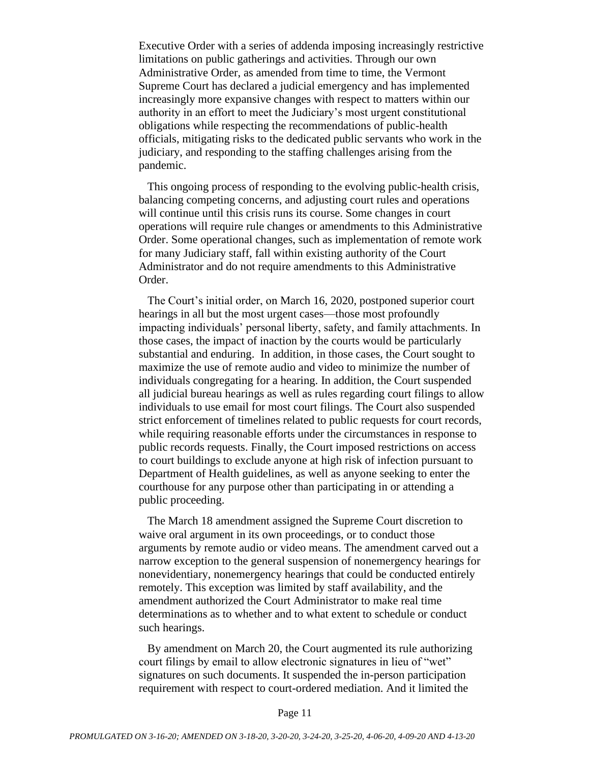Executive Order with a series of addenda imposing increasingly restrictive limitations on public gatherings and activities. Through our own Administrative Order, as amended from time to time, the Vermont Supreme Court has declared a judicial emergency and has implemented increasingly more expansive changes with respect to matters within our authority in an effort to meet the Judiciary's most urgent constitutional obligations while respecting the recommendations of public-health officials, mitigating risks to the dedicated public servants who work in the judiciary, and responding to the staffing challenges arising from the pandemic.

This ongoing process of responding to the evolving public-health crisis, balancing competing concerns, and adjusting court rules and operations will continue until this crisis runs its course. Some changes in court operations will require rule changes or amendments to this Administrative Order. Some operational changes, such as implementation of remote work for many Judiciary staff, fall within existing authority of the Court Administrator and do not require amendments to this Administrative Order.

The Court's initial order, on March 16, 2020, postponed superior court hearings in all but the most urgent cases—those most profoundly impacting individuals' personal liberty, safety, and family attachments. In those cases, the impact of inaction by the courts would be particularly substantial and enduring. In addition, in those cases, the Court sought to maximize the use of remote audio and video to minimize the number of individuals congregating for a hearing. In addition, the Court suspended all judicial bureau hearings as well as rules regarding court filings to allow individuals to use email for most court filings. The Court also suspended strict enforcement of timelines related to public requests for court records, while requiring reasonable efforts under the circumstances in response to public records requests. Finally, the Court imposed restrictions on access to court buildings to exclude anyone at high risk of infection pursuant to Department of Health guidelines, as well as anyone seeking to enter the courthouse for any purpose other than participating in or attending a public proceeding.

The March 18 amendment assigned the Supreme Court discretion to waive oral argument in its own proceedings, or to conduct those arguments by remote audio or video means. The amendment carved out a narrow exception to the general suspension of nonemergency hearings for nonevidentiary, nonemergency hearings that could be conducted entirely remotely. This exception was limited by staff availability, and the amendment authorized the Court Administrator to make real time determinations as to whether and to what extent to schedule or conduct such hearings.

By amendment on March 20, the Court augmented its rule authorizing court filings by email to allow electronic signatures in lieu of "wet" signatures on such documents. It suspended the in-person participation requirement with respect to court-ordered mediation. And it limited the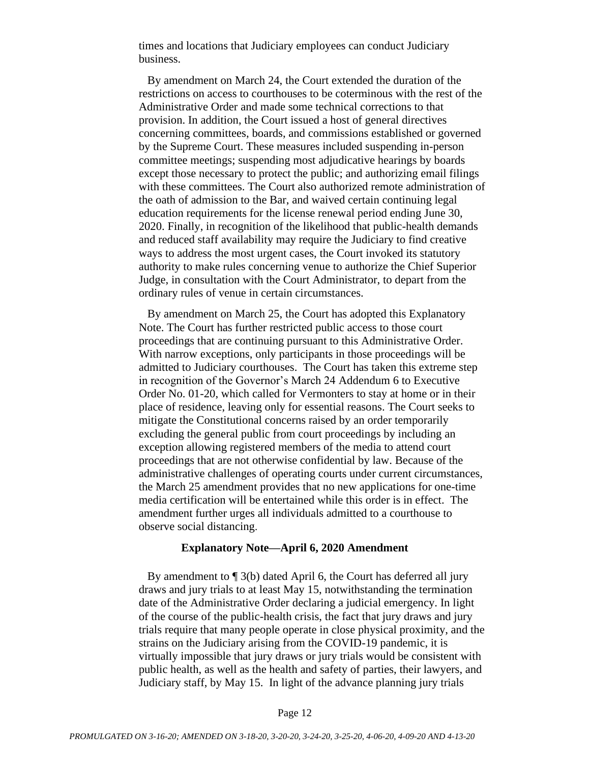times and locations that Judiciary employees can conduct Judiciary business.

By amendment on March 24, the Court extended the duration of the restrictions on access to courthouses to be coterminous with the rest of the Administrative Order and made some technical corrections to that provision. In addition, the Court issued a host of general directives concerning committees, boards, and commissions established or governed by the Supreme Court. These measures included suspending in-person committee meetings; suspending most adjudicative hearings by boards except those necessary to protect the public; and authorizing email filings with these committees. The Court also authorized remote administration of the oath of admission to the Bar, and waived certain continuing legal education requirements for the license renewal period ending June 30, 2020. Finally, in recognition of the likelihood that public-health demands and reduced staff availability may require the Judiciary to find creative ways to address the most urgent cases, the Court invoked its statutory authority to make rules concerning venue to authorize the Chief Superior Judge, in consultation with the Court Administrator, to depart from the ordinary rules of venue in certain circumstances.

By amendment on March 25, the Court has adopted this Explanatory Note. The Court has further restricted public access to those court proceedings that are continuing pursuant to this Administrative Order. With narrow exceptions, only participants in those proceedings will be admitted to Judiciary courthouses. The Court has taken this extreme step in recognition of the Governor's March 24 Addendum 6 to Executive Order No. 01-20, which called for Vermonters to stay at home or in their place of residence, leaving only for essential reasons. The Court seeks to mitigate the Constitutional concerns raised by an order temporarily excluding the general public from court proceedings by including an exception allowing registered members of the media to attend court proceedings that are not otherwise confidential by law. Because of the administrative challenges of operating courts under current circumstances, the March 25 amendment provides that no new applications for one-time media certification will be entertained while this order is in effect. The amendment further urges all individuals admitted to a courthouse to observe social distancing.

#### **Explanatory Note—April 6, 2020 Amendment**

By amendment to ¶ 3(b) dated April 6, the Court has deferred all jury draws and jury trials to at least May 15, notwithstanding the termination date of the Administrative Order declaring a judicial emergency. In light of the course of the public-health crisis, the fact that jury draws and jury trials require that many people operate in close physical proximity, and the strains on the Judiciary arising from the COVID-19 pandemic, it is virtually impossible that jury draws or jury trials would be consistent with public health, as well as the health and safety of parties, their lawyers, and Judiciary staff, by May 15. In light of the advance planning jury trials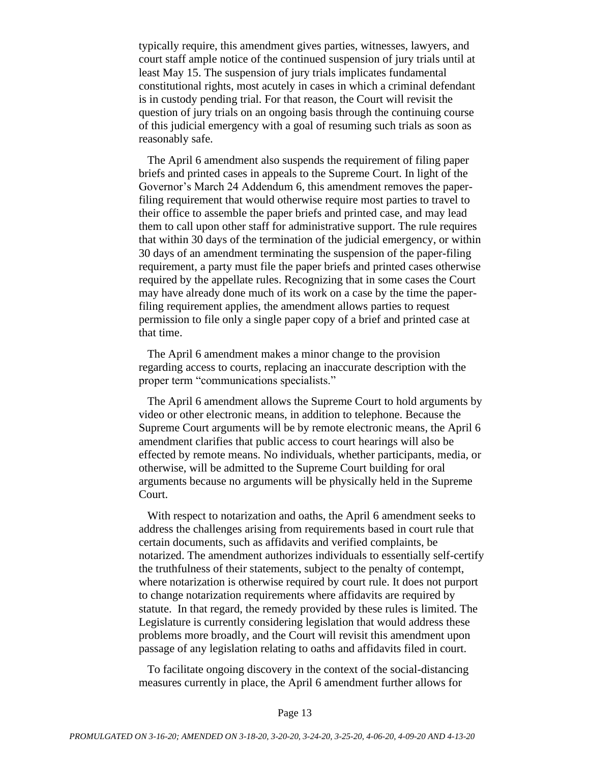typically require, this amendment gives parties, witnesses, lawyers, and court staff ample notice of the continued suspension of jury trials until at least May 15. The suspension of jury trials implicates fundamental constitutional rights, most acutely in cases in which a criminal defendant is in custody pending trial. For that reason, the Court will revisit the question of jury trials on an ongoing basis through the continuing course of this judicial emergency with a goal of resuming such trials as soon as reasonably safe.

The April 6 amendment also suspends the requirement of filing paper briefs and printed cases in appeals to the Supreme Court. In light of the Governor's March 24 Addendum 6, this amendment removes the paperfiling requirement that would otherwise require most parties to travel to their office to assemble the paper briefs and printed case, and may lead them to call upon other staff for administrative support. The rule requires that within 30 days of the termination of the judicial emergency, or within 30 days of an amendment terminating the suspension of the paper-filing requirement, a party must file the paper briefs and printed cases otherwise required by the appellate rules. Recognizing that in some cases the Court may have already done much of its work on a case by the time the paperfiling requirement applies, the amendment allows parties to request permission to file only a single paper copy of a brief and printed case at that time.

The April 6 amendment makes a minor change to the provision regarding access to courts, replacing an inaccurate description with the proper term "communications specialists."

The April 6 amendment allows the Supreme Court to hold arguments by video or other electronic means, in addition to telephone. Because the Supreme Court arguments will be by remote electronic means, the April 6 amendment clarifies that public access to court hearings will also be effected by remote means. No individuals, whether participants, media, or otherwise, will be admitted to the Supreme Court building for oral arguments because no arguments will be physically held in the Supreme Court.

With respect to notarization and oaths, the April 6 amendment seeks to address the challenges arising from requirements based in court rule that certain documents, such as affidavits and verified complaints, be notarized. The amendment authorizes individuals to essentially self-certify the truthfulness of their statements, subject to the penalty of contempt, where notarization is otherwise required by court rule. It does not purport to change notarization requirements where affidavits are required by statute. In that regard, the remedy provided by these rules is limited. The Legislature is currently considering legislation that would address these problems more broadly, and the Court will revisit this amendment upon passage of any legislation relating to oaths and affidavits filed in court.

To facilitate ongoing discovery in the context of the social-distancing measures currently in place, the April 6 amendment further allows for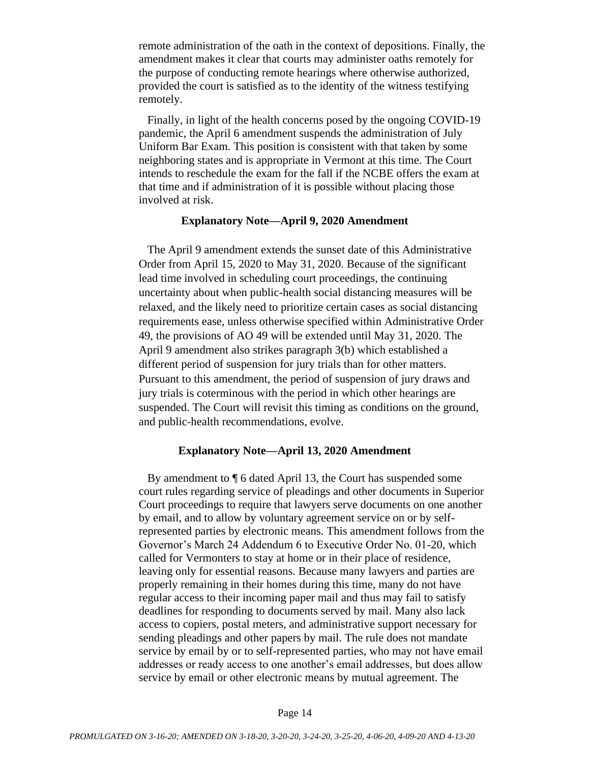remote administration of the oath in the context of depositions. Finally, the amendment makes it clear that courts may administer oaths remotely for the purpose of conducting remote hearings where otherwise authorized, provided the court is satisfied as to the identity of the witness testifying remotely.

Finally, in light of the health concerns posed by the ongoing COVID-19 pandemic, the April 6 amendment suspends the administration of July Uniform Bar Exam. This position is consistent with that taken by some neighboring states and is appropriate in Vermont at this time. The Court intends to reschedule the exam for the fall if the NCBE offers the exam at that time and if administration of it is possible without placing those involved at risk.

#### **Explanatory Note—April 9, 2020 Amendment**

The April 9 amendment extends the sunset date of this Administrative Order from April 15, 2020 to May 31, 2020. Because of the significant lead time involved in scheduling court proceedings, the continuing uncertainty about when public-health social distancing measures will be relaxed, and the likely need to prioritize certain cases as social distancing requirements ease, unless otherwise specified within Administrative Order 49, the provisions of AO 49 will be extended until May 31, 2020. The April 9 amendment also strikes paragraph 3(b) which established a different period of suspension for jury trials than for other matters. Pursuant to this amendment, the period of suspension of jury draws and jury trials is coterminous with the period in which other hearings are suspended. The Court will revisit this timing as conditions on the ground, and public-health recommendations, evolve.

#### **Explanatory Note—April 13, 2020 Amendment**

By amendment to ¶ 6 dated April 13, the Court has suspended some court rules regarding service of pleadings and other documents in Superior Court proceedings to require that lawyers serve documents on one another by email, and to allow by voluntary agreement service on or by selfrepresented parties by electronic means. This amendment follows from the Governor's March 24 Addendum 6 to Executive Order No. 01-20, which called for Vermonters to stay at home or in their place of residence, leaving only for essential reasons. Because many lawyers and parties are properly remaining in their homes during this time, many do not have regular access to their incoming paper mail and thus may fail to satisfy deadlines for responding to documents served by mail. Many also lack access to copiers, postal meters, and administrative support necessary for sending pleadings and other papers by mail. The rule does not mandate service by email by or to self-represented parties, who may not have email addresses or ready access to one another's email addresses, but does allow service by email or other electronic means by mutual agreement. The